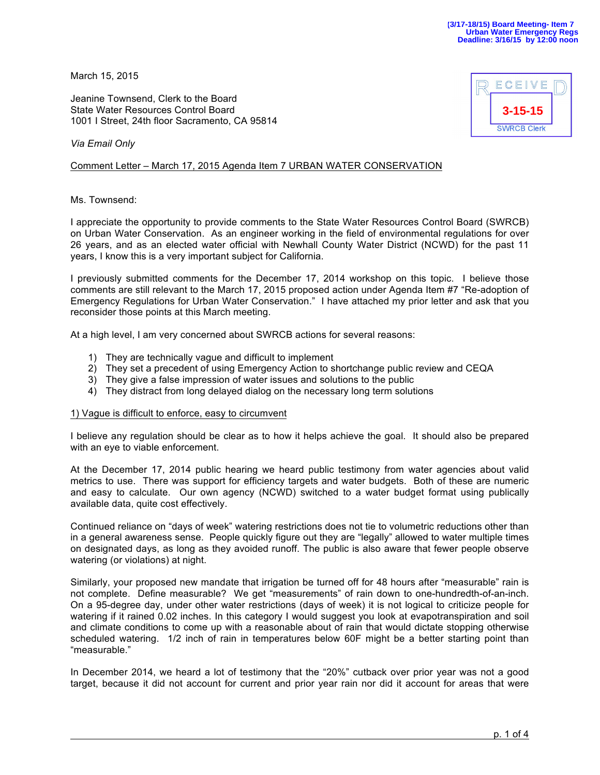March 15, 2015

Jeanine Townsend, Clerk to the Board State Water Resources Control Board 1001 I Street, 24th floor Sacramento, CA 95814



*Via Email Only*

Comment Letter – March 17, 2015 Agenda Item 7 URBAN WATER CONSERVATION

Ms. Townsend:

I appreciate the opportunity to provide comments to the State Water Resources Control Board (SWRCB) on Urban Water Conservation. As an engineer working in the field of environmental regulations for over 26 years, and as an elected water official with Newhall County Water District (NCWD) for the past 11 years, I know this is a very important subject for California.

I previously submitted comments for the December 17, 2014 workshop on this topic. I believe those comments are still relevant to the March 17, 2015 proposed action under Agenda Item #7 "Re-adoption of Emergency Regulations for Urban Water Conservation." I have attached my prior letter and ask that you reconsider those points at this March meeting.

At a high level, I am very concerned about SWRCB actions for several reasons:

- 1) They are technically vague and difficult to implement
- 2) They set a precedent of using Emergency Action to shortchange public review and CEQA
- 3) They give a false impression of water issues and solutions to the public
- 4) They distract from long delayed dialog on the necessary long term solutions

## 1) Vague is difficult to enforce, easy to circumvent

I believe any regulation should be clear as to how it helps achieve the goal. It should also be prepared with an eye to viable enforcement.

At the December 17, 2014 public hearing we heard public testimony from water agencies about valid metrics to use. There was support for efficiency targets and water budgets. Both of these are numeric and easy to calculate. Our own agency (NCWD) switched to a water budget format using publically available data, quite cost effectively.

Continued reliance on "days of week" watering restrictions does not tie to volumetric reductions other than in a general awareness sense. People quickly figure out they are "legally" allowed to water multiple times on designated days, as long as they avoided runoff. The public is also aware that fewer people observe watering (or violations) at night.

Similarly, your proposed new mandate that irrigation be turned off for 48 hours after "measurable" rain is not complete. Define measurable? We get "measurements" of rain down to one-hundredth-of-an-inch. On a 95-degree day, under other water restrictions (days of week) it is not logical to criticize people for watering if it rained 0.02 inches. In this category I would suggest you look at evapotranspiration and soil and climate conditions to come up with a reasonable about of rain that would dictate stopping otherwise scheduled watering. 1/2 inch of rain in temperatures below 60F might be a better starting point than "measurable."

In December 2014, we heard a lot of testimony that the "20%" cutback over prior year was not a good target, because it did not account for current and prior year rain nor did it account for areas that were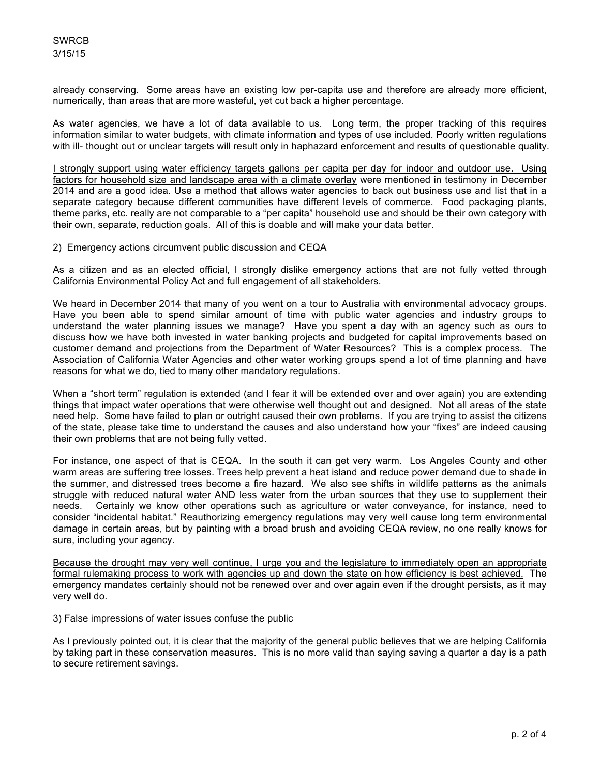already conserving. Some areas have an existing low per-capita use and therefore are already more efficient, numerically, than areas that are more wasteful, yet cut back a higher percentage.

As water agencies, we have a lot of data available to us. Long term, the proper tracking of this requires information similar to water budgets, with climate information and types of use included. Poorly written regulations with ill- thought out or unclear targets will result only in haphazard enforcement and results of questionable quality.

I strongly support using water efficiency targets gallons per capita per day for indoor and outdoor use. Using factors for household size and landscape area with a climate overlay were mentioned in testimony in December 2014 and are a good idea. Use a method that allows water agencies to back out business use and list that in a separate category because different communities have different levels of commerce. Food packaging plants, theme parks, etc. really are not comparable to a "per capita" household use and should be their own category with their own, separate, reduction goals. All of this is doable and will make your data better.

2) Emergency actions circumvent public discussion and CEQA

As a citizen and as an elected official, I strongly dislike emergency actions that are not fully vetted through California Environmental Policy Act and full engagement of all stakeholders.

We heard in December 2014 that many of you went on a tour to Australia with environmental advocacy groups. Have you been able to spend similar amount of time with public water agencies and industry groups to understand the water planning issues we manage? Have you spent a day with an agency such as ours to discuss how we have both invested in water banking projects and budgeted for capital improvements based on customer demand and projections from the Department of Water Resources? This is a complex process. The Association of California Water Agencies and other water working groups spend a lot of time planning and have reasons for what we do, tied to many other mandatory regulations.

When a "short term" regulation is extended (and I fear it will be extended over and over again) you are extending things that impact water operations that were otherwise well thought out and designed. Not all areas of the state need help. Some have failed to plan or outright caused their own problems. If you are trying to assist the citizens of the state, please take time to understand the causes and also understand how your "fixes" are indeed causing their own problems that are not being fully vetted.

For instance, one aspect of that is CEQA. In the south it can get very warm. Los Angeles County and other warm areas are suffering tree losses. Trees help prevent a heat island and reduce power demand due to shade in the summer, and distressed trees become a fire hazard. We also see shifts in wildlife patterns as the animals struggle with reduced natural water AND less water from the urban sources that they use to supplement their needs. Certainly we know other operations such as agriculture or water conveyance, for instance, need to consider "incidental habitat." Reauthorizing emergency regulations may very well cause long term environmental damage in certain areas, but by painting with a broad brush and avoiding CEQA review, no one really knows for sure, including your agency.

Because the drought may very well continue, I urge you and the legislature to immediately open an appropriate formal rulemaking process to work with agencies up and down the state on how efficiency is best achieved. The emergency mandates certainly should not be renewed over and over again even if the drought persists, as it may very well do.

3) False impressions of water issues confuse the public

As I previously pointed out, it is clear that the majority of the general public believes that we are helping California by taking part in these conservation measures. This is no more valid than saying saving a quarter a day is a path to secure retirement savings.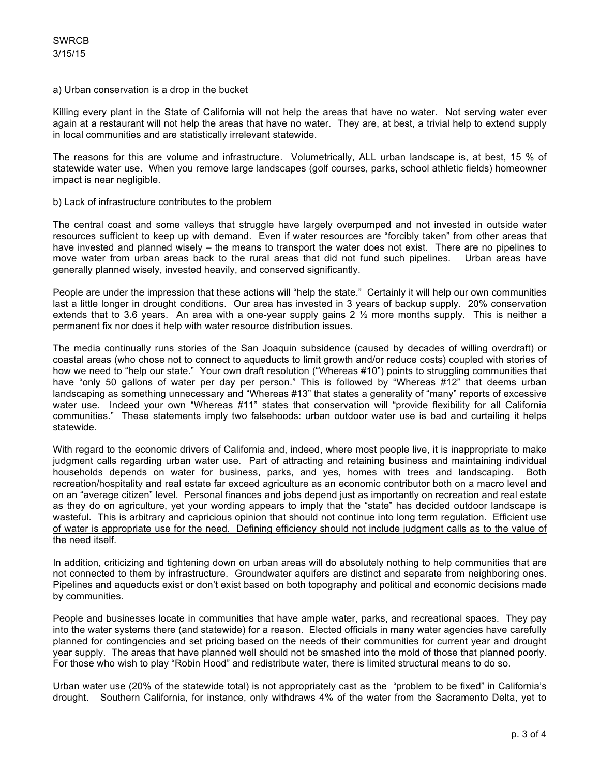## a) Urban conservation is a drop in the bucket

Killing every plant in the State of California will not help the areas that have no water. Not serving water ever again at a restaurant will not help the areas that have no water. They are, at best, a trivial help to extend supply in local communities and are statistically irrelevant statewide.

The reasons for this are volume and infrastructure. Volumetrically, ALL urban landscape is, at best, 15 % of statewide water use. When you remove large landscapes (golf courses, parks, school athletic fields) homeowner impact is near negligible.

## b) Lack of infrastructure contributes to the problem

The central coast and some valleys that struggle have largely overpumped and not invested in outside water resources sufficient to keep up with demand. Even if water resources are "forcibly taken" from other areas that have invested and planned wisely – the means to transport the water does not exist. There are no pipelines to move water from urban areas back to the rural areas that did not fund such pipelines. Urban areas have generally planned wisely, invested heavily, and conserved significantly.

People are under the impression that these actions will "help the state." Certainly it will help our own communities last a little longer in drought conditions. Our area has invested in 3 years of backup supply. 20% conservation extends that to 3.6 years. An area with a one-year supply gains 2  $\frac{1}{2}$  more months supply. This is neither a permanent fix nor does it help with water resource distribution issues.

The media continually runs stories of the San Joaquin subsidence (caused by decades of willing overdraft) or coastal areas (who chose not to connect to aqueducts to limit growth and/or reduce costs) coupled with stories of how we need to "help our state." Your own draft resolution ("Whereas #10") points to struggling communities that have "only 50 gallons of water per day per person." This is followed by "Whereas #12" that deems urban landscaping as something unnecessary and "Whereas #13" that states a generality of "many" reports of excessive water use. Indeed your own "Whereas #11" states that conservation will "provide flexibility for all California communities." These statements imply two falsehoods: urban outdoor water use is bad and curtailing it helps statewide.

With regard to the economic drivers of California and, indeed, where most people live, it is inappropriate to make judgment calls regarding urban water use. Part of attracting and retaining business and maintaining individual households depends on water for business, parks, and yes, homes with trees and landscaping. Both recreation/hospitality and real estate far exceed agriculture as an economic contributor both on a macro level and on an "average citizen" level. Personal finances and jobs depend just as importantly on recreation and real estate as they do on agriculture, yet your wording appears to imply that the "state" has decided outdoor landscape is wasteful. This is arbitrary and capricious opinion that should not continue into long term regulation. Efficient use of water is appropriate use for the need. Defining efficiency should not include judgment calls as to the value of the need itself.

In addition, criticizing and tightening down on urban areas will do absolutely nothing to help communities that are not connected to them by infrastructure. Groundwater aquifers are distinct and separate from neighboring ones. Pipelines and aqueducts exist or don't exist based on both topography and political and economic decisions made by communities.

People and businesses locate in communities that have ample water, parks, and recreational spaces. They pay into the water systems there (and statewide) for a reason. Elected officials in many water agencies have carefully planned for contingencies and set pricing based on the needs of their communities for current year and drought year supply. The areas that have planned well should not be smashed into the mold of those that planned poorly. For those who wish to play "Robin Hood" and redistribute water, there is limited structural means to do so.

Urban water use (20% of the statewide total) is not appropriately cast as the "problem to be fixed" in California's drought. Southern California, for instance, only withdraws 4% of the water from the Sacramento Delta, yet to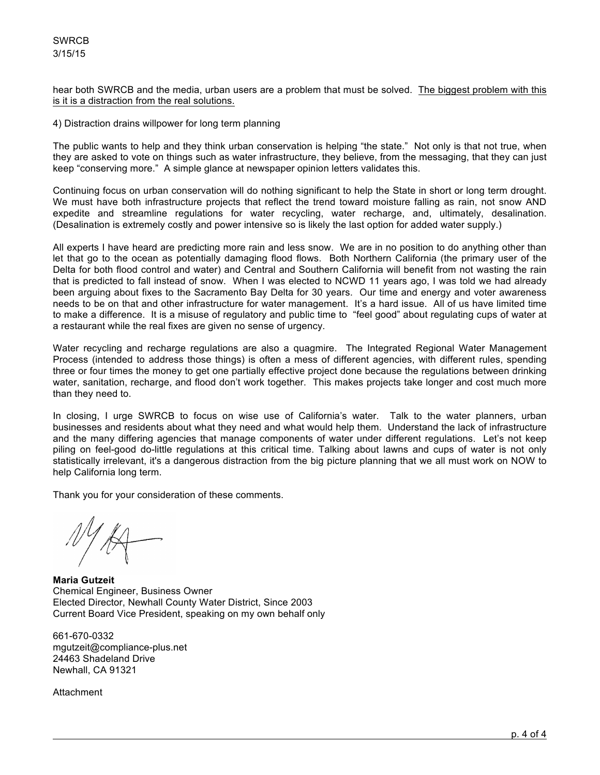hear both SWRCB and the media, urban users are a problem that must be solved. The biggest problem with this is it is a distraction from the real solutions.

4) Distraction drains willpower for long term planning

The public wants to help and they think urban conservation is helping "the state." Not only is that not true, when they are asked to vote on things such as water infrastructure, they believe, from the messaging, that they can just keep "conserving more." A simple glance at newspaper opinion letters validates this.

Continuing focus on urban conservation will do nothing significant to help the State in short or long term drought. We must have both infrastructure projects that reflect the trend toward moisture falling as rain, not snow AND expedite and streamline regulations for water recycling, water recharge, and, ultimately, desalination. (Desalination is extremely costly and power intensive so is likely the last option for added water supply.)

All experts I have heard are predicting more rain and less snow. We are in no position to do anything other than let that go to the ocean as potentially damaging flood flows. Both Northern California (the primary user of the Delta for both flood control and water) and Central and Southern California will benefit from not wasting the rain that is predicted to fall instead of snow. When I was elected to NCWD 11 years ago, I was told we had already been arguing about fixes to the Sacramento Bay Delta for 30 years. Our time and energy and voter awareness needs to be on that and other infrastructure for water management. It's a hard issue. All of us have limited time to make a difference. It is a misuse of regulatory and public time to "feel good" about regulating cups of water at a restaurant while the real fixes are given no sense of urgency.

Water recycling and recharge regulations are also a quagmire. The Integrated Regional Water Management Process (intended to address those things) is often a mess of different agencies, with different rules, spending three or four times the money to get one partially effective project done because the regulations between drinking water, sanitation, recharge, and flood don't work together. This makes projects take longer and cost much more than they need to.

In closing, I urge SWRCB to focus on wise use of California's water. Talk to the water planners, urban businesses and residents about what they need and what would help them. Understand the lack of infrastructure and the many differing agencies that manage components of water under different regulations. Let's not keep piling on feel-good do-little regulations at this critical time. Talking about lawns and cups of water is not only statistically irrelevant, it's a dangerous distraction from the big picture planning that we all must work on NOW to help California long term.

Thank you for your consideration of these comments.

**Maria Gutzeit** Chemical Engineer, Business Owner Elected Director, Newhall County Water District, Since 2003 Current Board Vice President, speaking on my own behalf only

661-670-0332 mgutzeit@compliance-plus.net 24463 Shadeland Drive Newhall, CA 91321

Attachment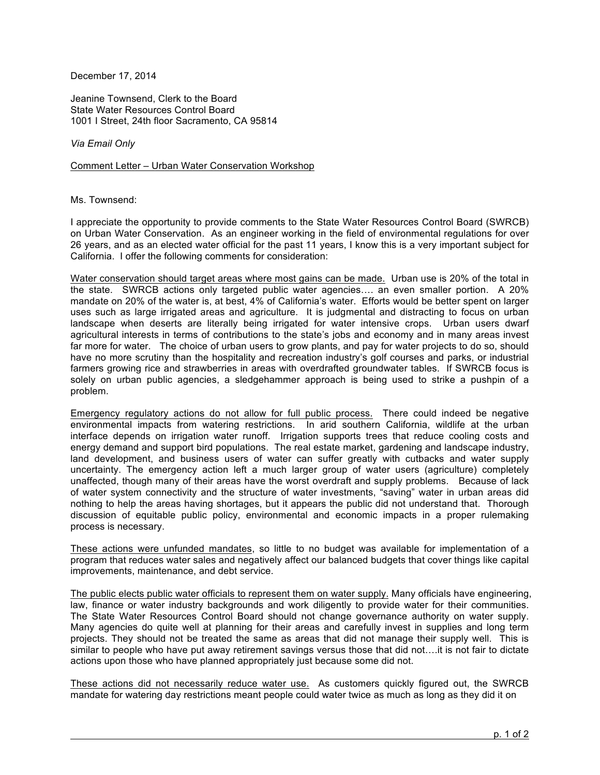December 17, 2014

Jeanine Townsend, Clerk to the Board State Water Resources Control Board 1001 I Street, 24th floor Sacramento, CA 95814

*Via Email Only*

Comment Letter – Urban Water Conservation Workshop

Ms. Townsend:

I appreciate the opportunity to provide comments to the State Water Resources Control Board (SWRCB) on Urban Water Conservation. As an engineer working in the field of environmental regulations for over 26 years, and as an elected water official for the past 11 years, I know this is a very important subject for California. I offer the following comments for consideration:

Water conservation should target areas where most gains can be made. Urban use is 20% of the total in the state. SWRCB actions only targeted public water agencies…. an even smaller portion. A 20% mandate on 20% of the water is, at best, 4% of California's water. Efforts would be better spent on larger uses such as large irrigated areas and agriculture. It is judgmental and distracting to focus on urban landscape when deserts are literally being irrigated for water intensive crops. Urban users dwarf agricultural interests in terms of contributions to the state's jobs and economy and in many areas invest far more for water. The choice of urban users to grow plants, and pay for water projects to do so, should have no more scrutiny than the hospitality and recreation industry's golf courses and parks, or industrial farmers growing rice and strawberries in areas with overdrafted groundwater tables. If SWRCB focus is solely on urban public agencies, a sledgehammer approach is being used to strike a pushpin of a problem.

Emergency regulatory actions do not allow for full public process. There could indeed be negative environmental impacts from watering restrictions. In arid southern California, wildlife at the urban interface depends on irrigation water runoff. Irrigation supports trees that reduce cooling costs and energy demand and support bird populations. The real estate market, gardening and landscape industry, land development, and business users of water can suffer greatly with cutbacks and water supply uncertainty. The emergency action left a much larger group of water users (agriculture) completely unaffected, though many of their areas have the worst overdraft and supply problems. Because of lack of water system connectivity and the structure of water investments, "saving" water in urban areas did nothing to help the areas having shortages, but it appears the public did not understand that. Thorough discussion of equitable public policy, environmental and economic impacts in a proper rulemaking process is necessary.

These actions were unfunded mandates, so little to no budget was available for implementation of a program that reduces water sales and negatively affect our balanced budgets that cover things like capital improvements, maintenance, and debt service.

The public elects public water officials to represent them on water supply. Many officials have engineering, law, finance or water industry backgrounds and work diligently to provide water for their communities. The State Water Resources Control Board should not change governance authority on water supply. Many agencies do quite well at planning for their areas and carefully invest in supplies and long term projects. They should not be treated the same as areas that did not manage their supply well. This is similar to people who have put away retirement savings versus those that did not….it is not fair to dictate actions upon those who have planned appropriately just because some did not.

These actions did not necessarily reduce water use. As customers quickly figured out, the SWRCB mandate for watering day restrictions meant people could water twice as much as long as they did it on